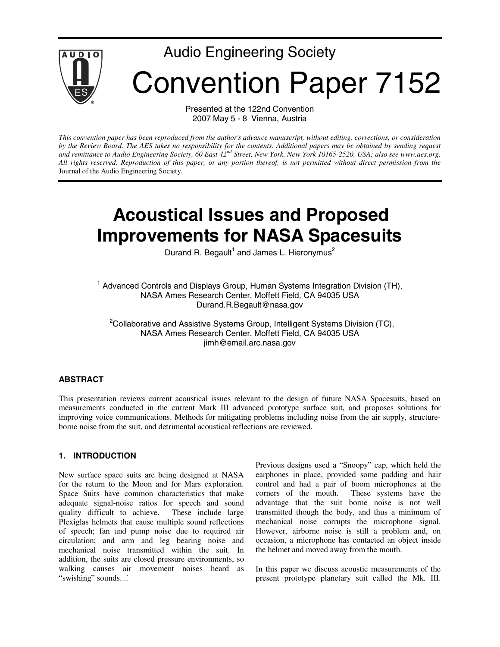

Presented at the 122nd Convention 2007 May 5 - 8 Vienna, Austria

*This convention paper has been reproduced from the author's advance manuscript, without editing, corrections, or consideration by the Review Board. The AES takes no responsibility for the contents. Additional papers may be obtained by sending request and remittance to Audio Engineering Society, 60 East 42nd Street, New York, New York 10165-2520, USA; also see www.aes.org. All rights reserved. Reproduction of this paper, or any portion thereof, is not permitted without direct permission from the* Journal of the Audio Engineering Society.

# **Acoustical Issues and Proposed Improvements for NASA Spacesuits**

Durand R. Begault<sup>1</sup> and James L. Hieronymus<sup>2</sup>

<sup>1</sup> Advanced Controls and Displays Group, Human Systems Integration Division (TH), NASA Ames Research Center, Moffett Field, CA 94035 USA Durand.R.Begault@nasa.gov

 2Collaborative and Assistive Systems Group, Intelligent Systems Division (TC), NASA Ames Research Center, Moffett Field, CA 94035 USA jimh@email.arc.nasa.gov

#### **ABSTRACT**

This presentation reviews current acoustical issues relevant to the design of future NASA Spacesuits, based on measurements conducted in the current Mark III advanced prototype surface suit, and proposes solutions for improving voice communications. Methods for mitigating problems including noise from the air supply, structureborne noise from the suit, and detrimental acoustical reflections are reviewed.

#### **1. INTRODUCTION**

New surface space suits are being designed at NASA for the return to the Moon and for Mars exploration. Space Suits have common characteristics that make adequate signal-noise ratios for speech and sound quality difficult to achieve. These include large Plexiglas helmets that cause multiple sound reflections of speech; fan and pump noise due to required air circulation; and arm and leg bearing noise and mechanical noise transmitted within the suit. In addition, the suits are closed pressure environments, so walking causes air movement noises heard as "swishing" sounds.

Previous designs used a "Snoopy" cap, which held the earphones in place, provided some padding and hair control and had a pair of boom microphones at the corners of the mouth. These systems have the advantage that the suit borne noise is not well transmitted though the body, and thus a minimum of mechanical noise corrupts the microphone signal. However, airborne noise is still a problem and, on occasion, a microphone has contacted an object inside the helmet and moved away from the mouth.

In this paper we discuss acoustic measurements of the present prototype planetary suit called the Mk. III.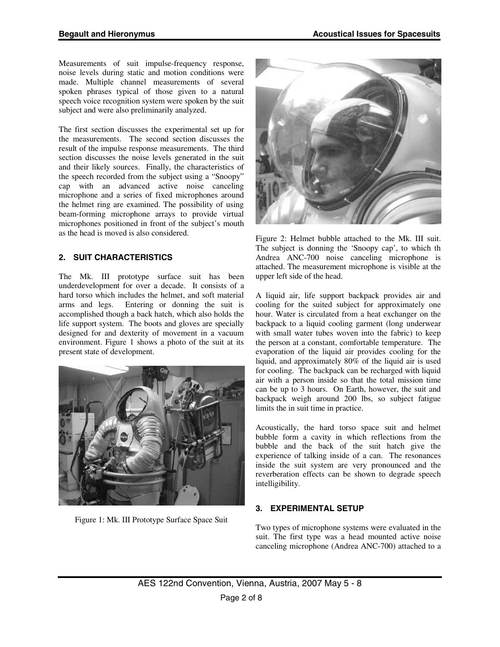Measurements of suit impulse-frequency response, noise levels during static and motion conditions were made. Multiple channel measurements of several spoken phrases typical of those given to a natural speech voice recognition system were spoken by the suit subject and were also preliminarily analyzed.

The first section discusses the experimental set up for the measurements. The second section discusses the result of the impulse response measurements. The third section discusses the noise levels generated in the suit and their likely sources. Finally, the characteristics of the speech recorded from the subject using a "Snoopy" cap with an advanced active noise canceling microphone and a series of fixed microphones around the helmet ring are examined. The possibility of using beam-forming microphone arrays to provide virtual microphones positioned in front of the subject's mouth as the head is moved is also considered.

#### **2. SUIT CHARACTERISTICS**

The Mk. III prototype surface suit has been underdevelopment for over a decade. It consists of a hard torso which includes the helmet, and soft material arms and legs. Entering or donning the suit is accomplished though a back hatch, which also holds the life support system. The boots and gloves are specially designed for and dexterity of movement in a vacuum environment. Figure 1 shows a photo of the suit at its present state of development.



Figure 1: Mk. III Prototype Surface Space Suit



Figure 2: Helmet bubble attached to the Mk. III suit. The subject is donning the 'Snoopy cap', to which th Andrea ANC-700 noise canceling microphone is attached. The measurement microphone is visible at the upper left side of the head.

A liquid air, life support backpack provides air and cooling for the suited subject for approximately one hour. Water is circulated from a heat exchanger on the backpack to a liquid cooling garment (long underwear with small water tubes woven into the fabric) to keep the person at a constant, comfortable temperature. The evaporation of the liquid air provides cooling for the liquid, and approximately 80% of the liquid air is used for cooling. The backpack can be recharged with liquid air with a person inside so that the total mission time can be up to 3 hours. On Earth, however, the suit and backpack weigh around 200 lbs, so subject fatigue limits the in suit time in practice.

Acoustically, the hard torso space suit and helmet bubble form a cavity in which reflections from the bubble and the back of the suit hatch give the experience of talking inside of a can. The resonances inside the suit system are very pronounced and the reverberation effects can be shown to degrade speech intelligibility.

#### **3. EXPERIMENTAL SETUP**

Two types of microphone systems were evaluated in the suit. The first type was a head mounted active noise canceling microphone (Andrea ANC-700) attached to a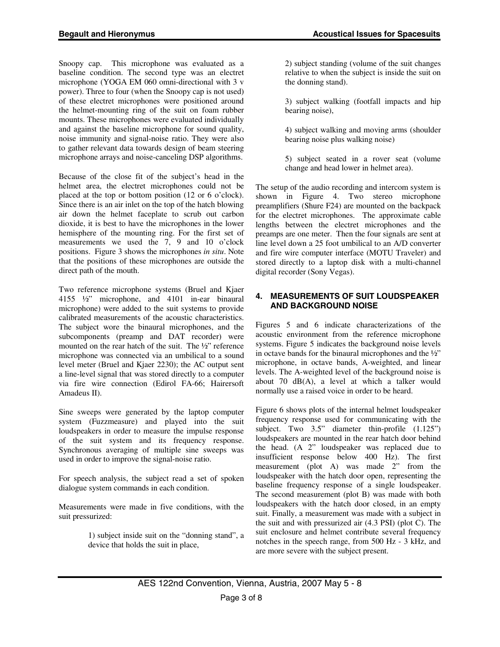Snoopy cap. This microphone was evaluated as a baseline condition. The second type was an electret microphone (YOGA EM 060 omni-directional with 3 v power). Three to four (when the Snoopy cap is not used) of these electret microphones were positioned around the helmet-mounting ring of the suit on foam rubber mounts. These microphones were evaluated individually and against the baseline microphone for sound quality, noise immunity and signal-noise ratio. They were also to gather relevant data towards design of beam steering microphone arrays and noise-canceling DSP algorithms.

Because of the close fit of the subject's head in the helmet area, the electret microphones could not be placed at the top or bottom position (12 or 6 o'clock). Since there is an air inlet on the top of the hatch blowing air down the helmet faceplate to scrub out carbon dioxide, it is best to have the microphones in the lower hemisphere of the mounting ring. For the first set of measurements we used the 7, 9 and 10 o'clock positions. Figure 3 shows the microphones *in situ*. Note that the positions of these microphones are outside the direct path of the mouth.

Two reference microphone systems (Bruel and Kjaer 4155 ½" microphone, and 4101 in-ear binaural microphone) were added to the suit systems to provide calibrated measurements of the acoustic characteristics. The subject wore the binaural microphones, and the subcomponents (preamp and DAT recorder) were mounted on the rear hatch of the suit. The ½" reference microphone was connected via an umbilical to a sound level meter (Bruel and Kjaer 2230); the AC output sent a line-level signal that was stored directly to a computer via fire wire connection (Edirol FA-66; Hairersoft Amadeus II).

Sine sweeps were generated by the laptop computer system (Fuzzmeasure) and played into the suit loudspeakers in order to measure the impulse response of the suit system and its frequency response. Synchronous averaging of multiple sine sweeps was used in order to improve the signal-noise ratio.

For speech analysis, the subject read a set of spoken dialogue system commands in each condition.

Measurements were made in five conditions, with the suit pressurized:

> 1) subject inside suit on the "donning stand", a device that holds the suit in place,

2) subject standing (volume of the suit changes relative to when the subject is inside the suit on the donning stand).

3) subject walking (footfall impacts and hip bearing noise),

4) subject walking and moving arms (shoulder bearing noise plus walking noise)

5) subject seated in a rover seat (volume change and head lower in helmet area).

The setup of the audio recording and intercom system is shown in Figure 4. Two stereo microphone preamplifiers (Shure F24) are mounted on the backpack for the electret microphones. The approximate cable lengths between the electret microphones and the preamps are one meter. Then the four signals are sent at line level down a 25 foot umbilical to an A/D converter and fire wire computer interface (MOTU Traveler) and stored directly to a laptop disk with a multi-channel digital recorder (Sony Vegas).

### **4. MEASUREMENTS OF SUIT LOUDSPEAKER AND BACKGROUND NOISE**

Figures 5 and 6 indicate characterizations of the acoustic environment from the reference microphone systems. Figure 5 indicates the background noise levels in octave bands for the binaural microphones and the  $\frac{1}{2}$ " microphone, in octave bands, A-weighted, and linear levels. The A-weighted level of the background noise is about 70 dB(A), a level at which a talker would normally use a raised voice in order to be heard.

Figure 6 shows plots of the internal helmet loudspeaker frequency response used for communicating with the subject. Two 3.5" diameter thin-profile (1.125") loudspeakers are mounted in the rear hatch door behind the head. (A 2" loudspeaker was replaced due to insufficient response below 400 Hz). The first measurement (plot A) was made 2" from the loudspeaker with the hatch door open, representing the baseline frequency response of a single loudspeaker. The second measurement (plot B) was made with both loudspeakers with the hatch door closed, in an empty suit. Finally, a measurement was made with a subject in the suit and with pressurized air (4.3 PSI) (plot C). The suit enclosure and helmet contribute several frequency notches in the speech range, from 500 Hz - 3 kHz, and are more severe with the subject present.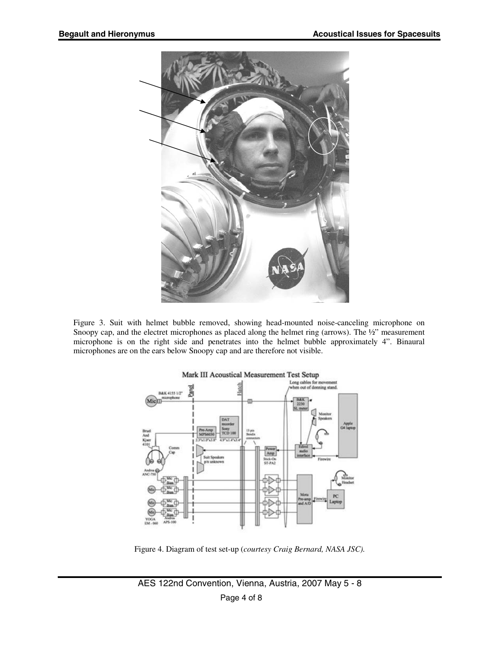

Figure 3. Suit with helmet bubble removed, showing head-mounted noise-canceling microphone on Snoopy cap, and the electret microphones as placed along the helmet ring (arrows). The 1/2" measurement microphone is on the right side and penetrates into the helmet bubble approximately 4". Binaural microphones are on the ears below Snoopy cap and are therefore not visible.



Figure 4. Diagram of test set-up (*courtesy Craig Bernard, NASA JSC).*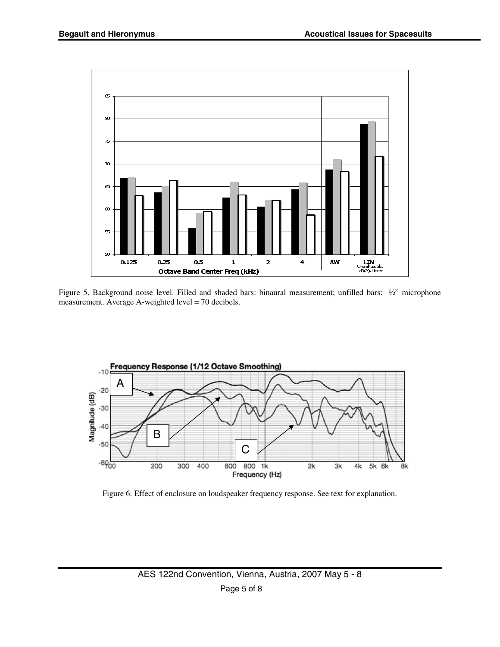

Figure 5. Background noise level. Filled and shaded bars: binaural measurement; unfilled bars: ½" microphone measurement. Average A-weighted level = 70 decibels.



Figure 6. Effect of enclosure on loudspeaker frequency response. See text for explanation.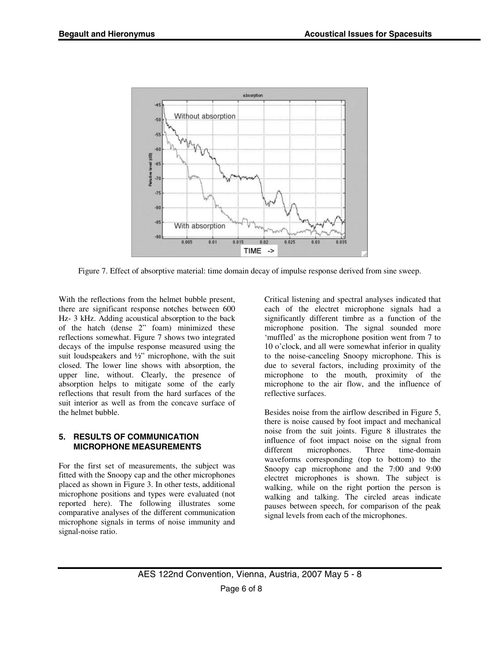

Figure 7. Effect of absorptive material: time domain decay of impulse response derived from sine sweep.

With the reflections from the helmet bubble present, there are significant response notches between 600 Hz- 3 kHz. Adding acoustical absorption to the back of the hatch (dense 2" foam) minimized these reflections somewhat. Figure 7 shows two integrated decays of the impulse response measured using the suit loudspeakers and ½" microphone, with the suit closed. The lower line shows with absorption, the upper line, without. Clearly, the presence of absorption helps to mitigate some of the early reflections that result from the hard surfaces of the suit interior as well as from the concave surface of the helmet bubble.

### **5. RESULTS OF COMMUNICATION MICROPHONE MEASUREMENTS**

For the first set of measurements, the subject was fitted with the Snoopy cap and the other microphones placed as shown in Figure 3. In other tests, additional microphone positions and types were evaluated (not reported here). The following illustrates some comparative analyses of the different communication microphone signals in terms of noise immunity and signal-noise ratio.

Critical listening and spectral analyses indicated that each of the electret microphone signals had a significantly different timbre as a function of the microphone position. The signal sounded more 'muffled' as the microphone position went from 7 to 10 o'clock, and all were somewhat inferior in quality to the noise-canceling Snoopy microphone. This is due to several factors, including proximity of the microphone to the mouth, proximity of the microphone to the air flow, and the influence of reflective surfaces.

Besides noise from the airflow described in Figure 5, there is noise caused by foot impact and mechanical noise from the suit joints. Figure 8 illustrates the influence of foot impact noise on the signal from<br>different microphones. Three time-domain different microphones. Three time-domain waveforms corresponding (top to bottom) to the Snoopy cap microphone and the 7:00 and 9:00 electret microphones is shown. The subject is walking, while on the right portion the person is walking and talking. The circled areas indicate pauses between speech, for comparison of the peak signal levels from each of the microphones.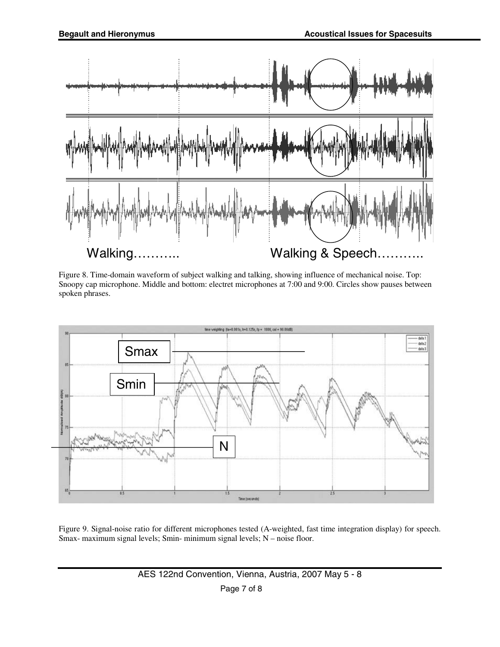

Figure 8. Time-domain waveform of subject walking and talking, showing influence of mechanical noise. Top: Snoopy cap microphone. Middle and bottom: electret microphones at 7:00 and 9:00. Circles show pauses between spoken phrases.



Figure 9. Signal-noise ratio for different microphones tested (A-weighted, fast time integration display) for speech. Smax- maximum signal levels; Smin- minimum signal levels; N – noise floor.